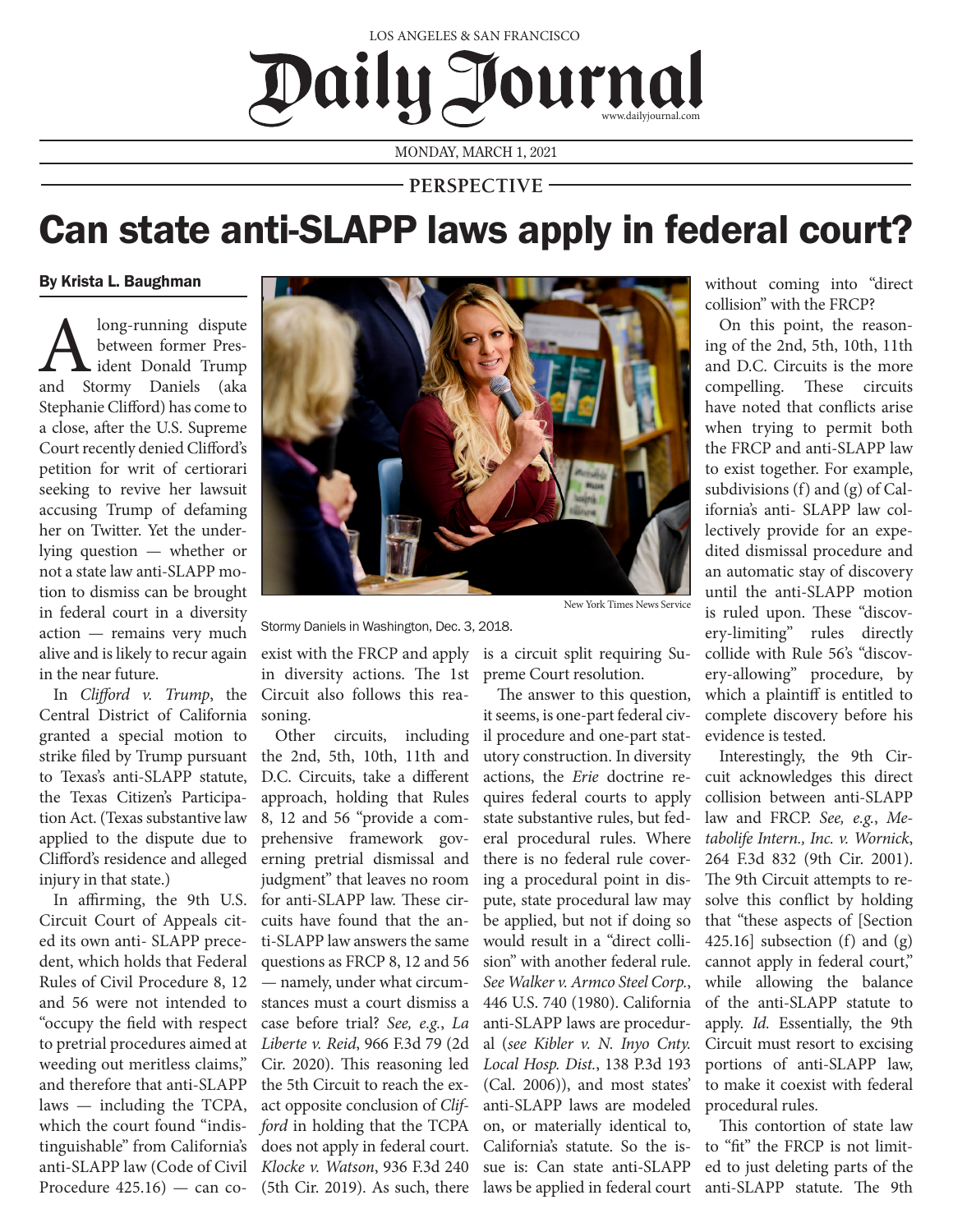## LOS ANGELES & SAN FRANCISCO Iournal  $\mathbf{D}$ aily $\mathbf{C}$

MONDAY, MARCH 1, 2021

**PERSPECTIVE**

## Can state anti-SLAPP laws apply in federal court?

By Krista L. Baughman

**A** long-running dispute<br>between former Pres-<br>and Stormy Daniels (aka between former President Donald Trump Stephanie Clifford) has come to a close, after the U.S. Supreme Court recently denied Clifford's petition for writ of certiorari seeking to revive her lawsuit accusing Trump of defaming her on Twitter. Yet the underlying question — whether or not a state law anti-SLAPP motion to dismiss can be brought in federal court in a diversity action — remains very much alive and is likely to recur again in the near future.

Central District of California granted a special motion to strike filed by Trump pursuant to Texas's anti-SLAPP statute, the Texas Citizen's Participation Act. (Texas substantive law applied to the dispute due to Clifford's residence and alleged injury in that state.)

In affirming, the 9th U.S. Circuit Court of Appeals cited its own anti- SLAPP precedent, which holds that Federal Rules of Civil Procedure 8, 12 and 56 were not intended to "occupy the field with respect to pretrial procedures aimed at weeding out meritless claims," and therefore that anti-SLAPP laws — including the TCPA, which the court found "indistinguishable" from California's anti-SLAPP law (Code of Civil Procedure 425.16) — can co-(5th Cir. 2019). As such, there



New York Times News Service

Stormy Daniels in Washington, Dec. 3, 2018.

In *Clifford v. Trump*, the Circuit also follows this reaexist with the FRCP and apply is a circuit split requiring Suin diversity actions. The 1st preme Court resolution. soning.

> Other circuits, including the 2nd, 5th, 10th, 11th and D.C. Circuits, take a different approach, holding that Rules 8, 12 and 56 "provide a comprehensive framework governing pretrial dismissal and judgment" that leaves no room for anti-SLAPP law. These circuits have found that the anti-SLAPP law answers the same questions as FRCP 8, 12 and 56 — namely, under what circumstances must a court dismiss a case before trial? *See, e.g.*, *La Liberte v. Reid*, 966 F.3d 79 (2d Cir. 2020). This reasoning led the 5th Circuit to reach the exact opposite conclusion of *Clifford* in holding that the TCPA does not apply in federal court. *Klocke v. Watson*, 936 F.3d 240

The answer to this question, it seems, is one-part federal civil procedure and one-part statutory construction. In diversity actions, the *Erie* doctrine requires federal courts to apply state substantive rules, but federal procedural rules. Where there is no federal rule covering a procedural point in dispute, state procedural law may be applied, but not if doing so would result in a "direct collision" with another federal rule. *See Walker v. Armco Steel Corp.*, 446 U.S. 740 (1980). California anti-SLAPP laws are procedural (*see Kibler v. N. Inyo Cnty. Local Hosp. Dist.*, 138 P.3d 193 (Cal. 2006)), and most states' anti-SLAPP laws are modeled on, or materially identical to, California's statute. So the issue is: Can state anti-SLAPP laws be applied in federal court without coming into "direct collision" with the FRCP?

On this point, the reasoning of the 2nd, 5th, 10th, 11th and D.C. Circuits is the more compelling. These circuits have noted that conflicts arise when trying to permit both the FRCP and anti-SLAPP law to exist together. For example, subdivisions (f) and (g) of California's anti- SLAPP law collectively provide for an expedited dismissal procedure and an automatic stay of discovery until the anti-SLAPP motion is ruled upon. These "discovery-limiting" rules directly collide with Rule 56's "discovery-allowing" procedure, by which a plaintiff is entitled to complete discovery before his evidence is tested.

Interestingly, the 9th Circuit acknowledges this direct collision between anti-SLAPP law and FRCP. *See, e.g.*, *Metabolife Intern., Inc. v. Wornick*, 264 F.3d 832 (9th Cir. 2001). The 9th Circuit attempts to resolve this conflict by holding that "these aspects of [Section 425.16] subsection (f) and (g) cannot apply in federal court," while allowing the balance of the anti-SLAPP statute to apply. *Id.* Essentially, the 9th Circuit must resort to excising portions of anti-SLAPP law, to make it coexist with federal procedural rules.

This contortion of state law to "fit" the FRCP is not limited to just deleting parts of the anti-SLAPP statute. The 9th